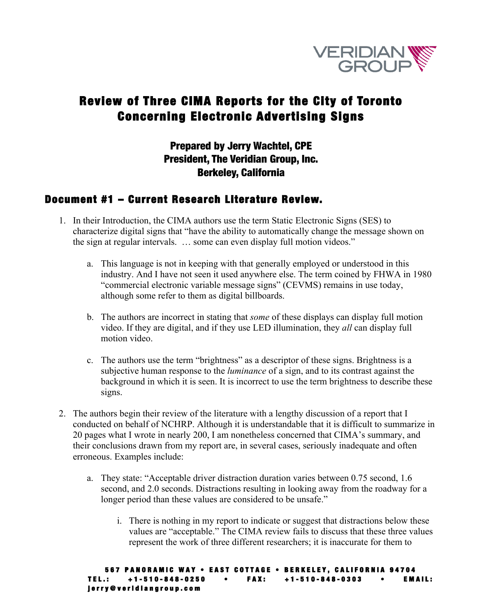

# Review of Three CIMA Reports for the City of Toronto Concerning Electronic Advertising Signs

### Prepared by Jerry Wachtel, CPE President, The Veridian Group, Inc. Berkeley, California

### Document #1 – Current Research Literature Review.

- 1. In their Introduction, the CIMA authors use the term Static Electronic Signs (SES) to characterize digital signs that "have the ability to automatically change the message shown on the sign at regular intervals. … some can even display full motion videos."
	- a. This language is not in keeping with that generally employed or understood in this industry. And I have not seen it used anywhere else. The term coined by FHWA in 1980 "commercial electronic variable message signs" (CEVMS) remains in use today, although some refer to them as digital billboards.
	- b. The authors are incorrect in stating that *some* of these displays can display full motion video. If they are digital, and if they use LED illumination, they *all* can display full motion video.
	- c. The authors use the term "brightness" as a descriptor of these signs. Brightness is a subjective human response to the *luminance* of a sign, and to its contrast against the background in which it is seen. It is incorrect to use the term brightness to describe these signs.
- 2. The authors begin their review of the literature with a lengthy discussion of a report that I conducted on behalf of NCHRP. Although it is understandable that it is difficult to summarize in 20 pages what I wrote in nearly 200, I am nonetheless concerned that CIMA's summary, and their conclusions drawn from my report are, in several cases, seriously inadequate and often erroneous. Examples include:
	- a. They state: "Acceptable driver distraction duration varies between 0.75 second, 1.6 second, and 2.0 seconds. Distractions resulting in looking away from the roadway for a longer period than these values are considered to be unsafe."
		- i. There is nothing in my report to indicate or suggest that distractions below these values are "acceptable." The CIMA review fails to discuss that these three values represent the work of three different researchers; it is inaccurate for them to

```
567 PANORAMIC WAY • EAST COTTAGE • BERKELEY, CALIFORNIA 94704 
TEL.: +1 - 510 - 848 - 0250 • FAX: +1 - 510 - 848 - 0303 • EMAIL: 
jerry@veridiangroup.com
```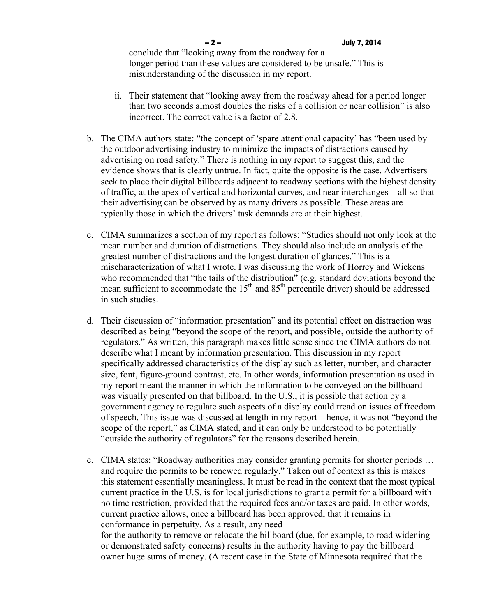- ii. Their statement that "looking away from the roadway ahead for a period longer than two seconds almost doubles the risks of a collision or near collision" is also incorrect. The correct value is a factor of 2.8.
- b. The CIMA authors state: "the concept of 'spare attentional capacity' has "been used by the outdoor advertising industry to minimize the impacts of distractions caused by advertising on road safety." There is nothing in my report to suggest this, and the evidence shows that is clearly untrue. In fact, quite the opposite is the case. Advertisers seek to place their digital billboards adjacent to roadway sections with the highest density of traffic, at the apex of vertical and horizontal curves, and near interchanges – all so that their advertising can be observed by as many drivers as possible. These areas are typically those in which the drivers' task demands are at their highest.
- c. CIMA summarizes a section of my report as follows: "Studies should not only look at the mean number and duration of distractions. They should also include an analysis of the greatest number of distractions and the longest duration of glances." This is a mischaracterization of what I wrote. I was discussing the work of Horrey and Wickens who recommended that "the tails of the distribution" (e.g. standard deviations beyond the mean sufficient to accommodate the  $15<sup>th</sup>$  and  $85<sup>th</sup>$  percentile driver) should be addressed in such studies.
- d. Their discussion of "information presentation" and its potential effect on distraction was described as being "beyond the scope of the report, and possible, outside the authority of regulators." As written, this paragraph makes little sense since the CIMA authors do not describe what I meant by information presentation. This discussion in my report specifically addressed characteristics of the display such as letter, number, and character size, font, figure-ground contrast, etc. In other words, information presentation as used in my report meant the manner in which the information to be conveyed on the billboard was visually presented on that billboard. In the U.S., it is possible that action by a government agency to regulate such aspects of a display could tread on issues of freedom of speech. This issue was discussed at length in my report – hence, it was not "beyond the scope of the report," as CIMA stated, and it can only be understood to be potentially "outside the authority of regulators" for the reasons described herein.
- e. CIMA states: "Roadway authorities may consider granting permits for shorter periods … and require the permits to be renewed regularly." Taken out of context as this is makes this statement essentially meaningless. It must be read in the context that the most typical current practice in the U.S. is for local jurisdictions to grant a permit for a billboard with no time restriction, provided that the required fees and/or taxes are paid. In other words, current practice allows, once a billboard has been approved, that it remains in conformance in perpetuity. As a result, any need for the authority to remove or relocate the billboard (due, for example, to road widening or demonstrated safety concerns) results in the authority having to pay the billboard owner huge sums of money. (A recent case in the State of Minnesota required that the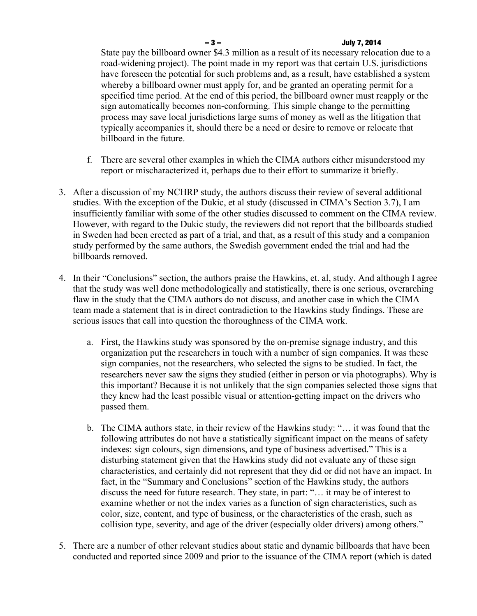### – 3 – July 7, 2014

State pay the billboard owner \$4.3 million as a result of its necessary relocation due to a road-widening project). The point made in my report was that certain U.S. jurisdictions have foreseen the potential for such problems and, as a result, have established a system whereby a billboard owner must apply for, and be granted an operating permit for a specified time period. At the end of this period, the billboard owner must reapply or the sign automatically becomes non-conforming. This simple change to the permitting process may save local jurisdictions large sums of money as well as the litigation that typically accompanies it, should there be a need or desire to remove or relocate that billboard in the future.

- f. There are several other examples in which the CIMA authors either misunderstood my report or mischaracterized it, perhaps due to their effort to summarize it briefly.
- 3. After a discussion of my NCHRP study, the authors discuss their review of several additional studies. With the exception of the Dukic, et al study (discussed in CIMA's Section 3.7), I am insufficiently familiar with some of the other studies discussed to comment on the CIMA review. However, with regard to the Dukic study, the reviewers did not report that the billboards studied in Sweden had been erected as part of a trial, and that, as a result of this study and a companion study performed by the same authors, the Swedish government ended the trial and had the billboards removed.
- 4. In their "Conclusions" section, the authors praise the Hawkins, et. al, study. And although I agree that the study was well done methodologically and statistically, there is one serious, overarching flaw in the study that the CIMA authors do not discuss, and another case in which the CIMA team made a statement that is in direct contradiction to the Hawkins study findings. These are serious issues that call into question the thoroughness of the CIMA work.
	- a. First, the Hawkins study was sponsored by the on-premise signage industry, and this organization put the researchers in touch with a number of sign companies. It was these sign companies, not the researchers, who selected the signs to be studied. In fact, the researchers never saw the signs they studied (either in person or via photographs). Why is this important? Because it is not unlikely that the sign companies selected those signs that they knew had the least possible visual or attention-getting impact on the drivers who passed them.
	- b. The CIMA authors state, in their review of the Hawkins study: "… it was found that the following attributes do not have a statistically significant impact on the means of safety indexes: sign colours, sign dimensions, and type of business advertised." This is a disturbing statement given that the Hawkins study did not evaluate any of these sign characteristics, and certainly did not represent that they did or did not have an impact. In fact, in the "Summary and Conclusions" section of the Hawkins study, the authors discuss the need for future research. They state, in part: "… it may be of interest to examine whether or not the index varies as a function of sign characteristics, such as color, size, content, and type of business, or the characteristics of the crash, such as collision type, severity, and age of the driver (especially older drivers) among others."
- 5. There are a number of other relevant studies about static and dynamic billboards that have been conducted and reported since 2009 and prior to the issuance of the CIMA report (which is dated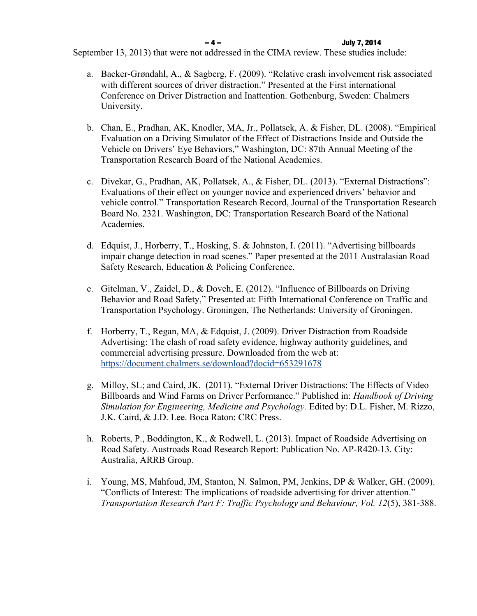September 13, 2013) that were not addressed in the CIMA review. These studies include:

- a. Backer-Grøndahl, A., & Sagberg, F. (2009). "Relative crash involvement risk associated with different sources of driver distraction." Presented at the First international Conference on Driver Distraction and Inattention. Gothenburg, Sweden: Chalmers University.
- b. Chan, E., Pradhan, AK, Knodler, MA, Jr., Pollatsek, A. & Fisher, DL. (2008). "Empirical Evaluation on a Driving Simulator of the Effect of Distractions Inside and Outside the Vehicle on Drivers' Eye Behaviors," Washington, DC: 87th Annual Meeting of the Transportation Research Board of the National Academies.
- c. Divekar, G., Pradhan, AK, Pollatsek, A., & Fisher, DL. (2013). "External Distractions": Evaluations of their effect on younger novice and experienced drivers' behavior and vehicle control." Transportation Research Record, Journal of the Transportation Research Board No. 2321. Washington, DC: Transportation Research Board of the National Academies.
- d. Edquist, J., Horberry, T., Hosking, S. & Johnston, I. (2011). "Advertising billboards impair change detection in road scenes." Paper presented at the 2011 Australasian Road Safety Research, Education & Policing Conference.
- e. Gitelman, V., Zaidel, D., & Doveh, E. (2012). "Influence of Billboards on Driving Behavior and Road Safety," Presented at: Fifth International Conference on Traffic and Transportation Psychology. Groningen, The Netherlands: University of Groningen.
- f. Horberry, T., Regan, MA, & Edquist, J. (2009). Driver Distraction from Roadside Advertising: The clash of road safety evidence, highway authority guidelines, and commercial advertising pressure. Downloaded from the web at: https://document.chalmers.se/download?docid=653291678
- g. Milloy, SL; and Caird, JK. (2011). "External Driver Distractions: The Effects of Video Billboards and Wind Farms on Driver Performance." Published in: *Handbook of Driving Simulation for Engineering, Medicine and Psychology.* Edited by: D.L. Fisher, M. Rizzo, J.K. Caird, & J.D. Lee. Boca Raton: CRC Press.
- h. Roberts, P., Boddington, K., & Rodwell, L. (2013). Impact of Roadside Advertising on Road Safety. Austroads Road Research Report: Publication No. AP-R420-13. City: Australia, ARRB Group.
- i. Young, MS, Mahfoud, JM, Stanton, N. Salmon, PM, Jenkins, DP & Walker, GH. (2009). "Conflicts of Interest: The implications of roadside advertising for driver attention." *Transportation Research Part F: Traffic Psychology and Behaviour, Vol. 12*(5), 381-388.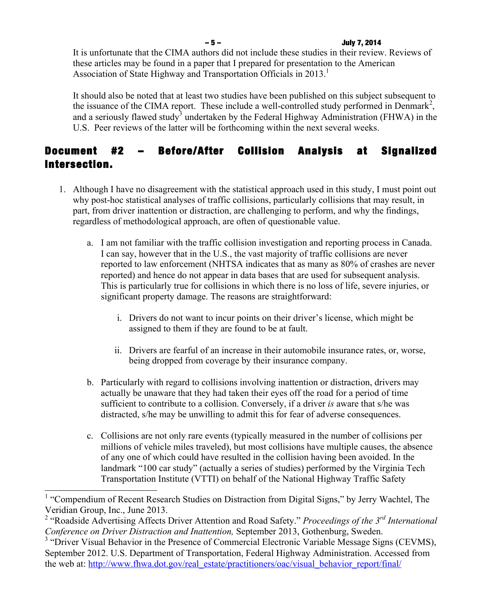### – 5 – July 7, 2014

It is unfortunate that the CIMA authors did not include these studies in their review. Reviews of these articles may be found in a paper that I prepared for presentation to the American Association of State Highway and Transportation Officials in 2013.<sup>1</sup>

It should also be noted that at least two studies have been published on this subject subsequent to the issuance of the CIMA report. These include a well-controlled study performed in Denmark<sup>2</sup>, and a seriously flawed study<sup>3</sup> undertaken by the Federal Highway Administration (FHWA) in the U.S. Peer reviews of the latter will be forthcoming within the next several weeks.

## Document #2 – Before/After Collision Analysis at Signalized Intersection.

- 1. Although I have no disagreement with the statistical approach used in this study, I must point out why post-hoc statistical analyses of traffic collisions, particularly collisions that may result, in part, from driver inattention or distraction, are challenging to perform, and why the findings, regardless of methodological approach, are often of questionable value.
	- a. I am not familiar with the traffic collision investigation and reporting process in Canada. I can say, however that in the U.S., the vast majority of traffic collisions are never reported to law enforcement (NHTSA indicates that as many as 80% of crashes are never reported) and hence do not appear in data bases that are used for subsequent analysis. This is particularly true for collisions in which there is no loss of life, severe injuries, or significant property damage. The reasons are straightforward:
		- i. Drivers do not want to incur points on their driver's license, which might be assigned to them if they are found to be at fault.
		- ii. Drivers are fearful of an increase in their automobile insurance rates, or, worse, being dropped from coverage by their insurance company.
	- b. Particularly with regard to collisions involving inattention or distraction, drivers may actually be unaware that they had taken their eyes off the road for a period of time sufficient to contribute to a collision. Conversely, if a driver *is* aware that s/he was distracted, s/he may be unwilling to admit this for fear of adverse consequences.
	- c. Collisions are not only rare events (typically measured in the number of collisions per millions of vehicle miles traveled), but most collisions have multiple causes, the absence of any one of which could have resulted in the collision having been avoided. In the landmark "100 car study" (actually a series of studies) performed by the Virginia Tech Transportation Institute (VTTI) on behalf of the National Highway Traffic Safety

<sup>&</sup>lt;sup>1</sup> "Compendium of Recent Research Studies on Distraction from Digital Signs," by Jerry Wachtel, The Veridian Group, Inc., June 2013.

<sup>&</sup>lt;sup>2</sup> "Roadside Advertising Affects Driver Attention and Road Safety." *Proceedings of the 3<sup>rd</sup> International Conference on Driver Distraction and Inattention,* September 2013, Gothenburg, Sweden.

<sup>&</sup>lt;sup>3</sup> "Driver Visual Behavior in the Presence of Commercial Electronic Variable Message Signs (CEVMS), September 2012. U.S. Department of Transportation, Federal Highway Administration. Accessed from the web at: http://www.fhwa.dot.gov/real\_estate/practitioners/oac/visual\_behavior\_report/final/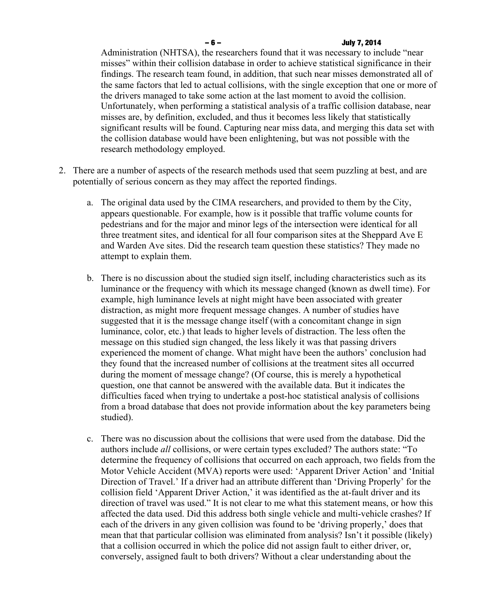#### – 6 – July 7, 2014

Administration (NHTSA), the researchers found that it was necessary to include "near misses" within their collision database in order to achieve statistical significance in their findings. The research team found, in addition, that such near misses demonstrated all of the same factors that led to actual collisions, with the single exception that one or more of the drivers managed to take some action at the last moment to avoid the collision. Unfortunately, when performing a statistical analysis of a traffic collision database, near misses are, by definition, excluded, and thus it becomes less likely that statistically significant results will be found. Capturing near miss data, and merging this data set with the collision database would have been enlightening, but was not possible with the research methodology employed.

- 2. There are a number of aspects of the research methods used that seem puzzling at best, and are potentially of serious concern as they may affect the reported findings.
	- a. The original data used by the CIMA researchers, and provided to them by the City, appears questionable. For example, how is it possible that traffic volume counts for pedestrians and for the major and minor legs of the intersection were identical for all three treatment sites, and identical for all four comparison sites at the Sheppard Ave E and Warden Ave sites. Did the research team question these statistics? They made no attempt to explain them.
	- b. There is no discussion about the studied sign itself, including characteristics such as its luminance or the frequency with which its message changed (known as dwell time). For example, high luminance levels at night might have been associated with greater distraction, as might more frequent message changes. A number of studies have suggested that it is the message change itself (with a concomitant change in sign luminance, color, etc.) that leads to higher levels of distraction. The less often the message on this studied sign changed, the less likely it was that passing drivers experienced the moment of change. What might have been the authors' conclusion had they found that the increased number of collisions at the treatment sites all occurred during the moment of message change? (Of course, this is merely a hypothetical question, one that cannot be answered with the available data. But it indicates the difficulties faced when trying to undertake a post-hoc statistical analysis of collisions from a broad database that does not provide information about the key parameters being studied).
	- c. There was no discussion about the collisions that were used from the database. Did the authors include *all* collisions, or were certain types excluded? The authors state: "To determine the frequency of collisions that occurred on each approach, two fields from the Motor Vehicle Accident (MVA) reports were used: 'Apparent Driver Action' and 'Initial Direction of Travel.' If a driver had an attribute different than 'Driving Properly' for the collision field 'Apparent Driver Action,' it was identified as the at-fault driver and its direction of travel was used." It is not clear to me what this statement means, or how this affected the data used. Did this address both single vehicle and multi-vehicle crashes? If each of the drivers in any given collision was found to be 'driving properly,' does that mean that that particular collision was eliminated from analysis? Isn't it possible (likely) that a collision occurred in which the police did not assign fault to either driver, or, conversely, assigned fault to both drivers? Without a clear understanding about the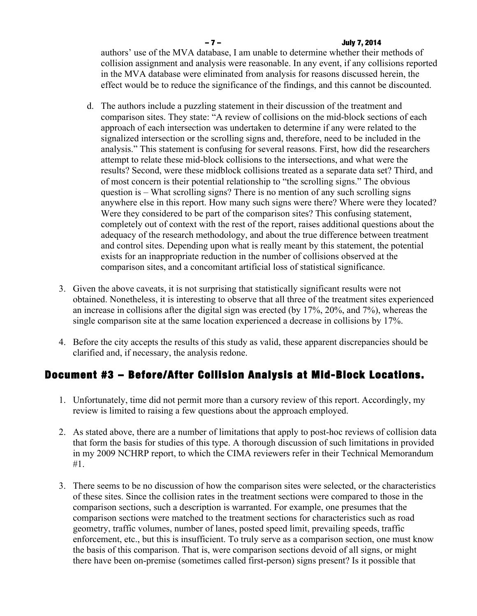### – 7 – July 7, 2014

authors' use of the MVA database, I am unable to determine whether their methods of collision assignment and analysis were reasonable. In any event, if any collisions reported in the MVA database were eliminated from analysis for reasons discussed herein, the effect would be to reduce the significance of the findings, and this cannot be discounted.

- d. The authors include a puzzling statement in their discussion of the treatment and comparison sites. They state: "A review of collisions on the mid-block sections of each approach of each intersection was undertaken to determine if any were related to the signalized intersection or the scrolling signs and, therefore, need to be included in the analysis." This statement is confusing for several reasons. First, how did the researchers attempt to relate these mid-block collisions to the intersections, and what were the results? Second, were these midblock collisions treated as a separate data set? Third, and of most concern is their potential relationship to "the scrolling signs." The obvious question is – What scrolling signs? There is no mention of any such scrolling signs anywhere else in this report. How many such signs were there? Where were they located? Were they considered to be part of the comparison sites? This confusing statement, completely out of context with the rest of the report, raises additional questions about the adequacy of the research methodology, and about the true difference between treatment and control sites. Depending upon what is really meant by this statement, the potential exists for an inappropriate reduction in the number of collisions observed at the comparison sites, and a concomitant artificial loss of statistical significance.
- 3. Given the above caveats, it is not surprising that statistically significant results were not obtained. Nonetheless, it is interesting to observe that all three of the treatment sites experienced an increase in collisions after the digital sign was erected (by 17%, 20%, and 7%), whereas the single comparison site at the same location experienced a decrease in collisions by 17%.
- 4. Before the city accepts the results of this study as valid, these apparent discrepancies should be clarified and, if necessary, the analysis redone.

## Document #3 – Before/After Collision Analysis at Mid-Block Locations.

- 1. Unfortunately, time did not permit more than a cursory review of this report. Accordingly, my review is limited to raising a few questions about the approach employed.
- 2. As stated above, there are a number of limitations that apply to post-hoc reviews of collision data that form the basis for studies of this type. A thorough discussion of such limitations in provided in my 2009 NCHRP report, to which the CIMA reviewers refer in their Technical Memorandum #1.
- 3. There seems to be no discussion of how the comparison sites were selected, or the characteristics of these sites. Since the collision rates in the treatment sections were compared to those in the comparison sections, such a description is warranted. For example, one presumes that the comparison sections were matched to the treatment sections for characteristics such as road geometry, traffic volumes, number of lanes, posted speed limit, prevailing speeds, traffic enforcement, etc., but this is insufficient. To truly serve as a comparison section, one must know the basis of this comparison. That is, were comparison sections devoid of all signs, or might there have been on-premise (sometimes called first-person) signs present? Is it possible that